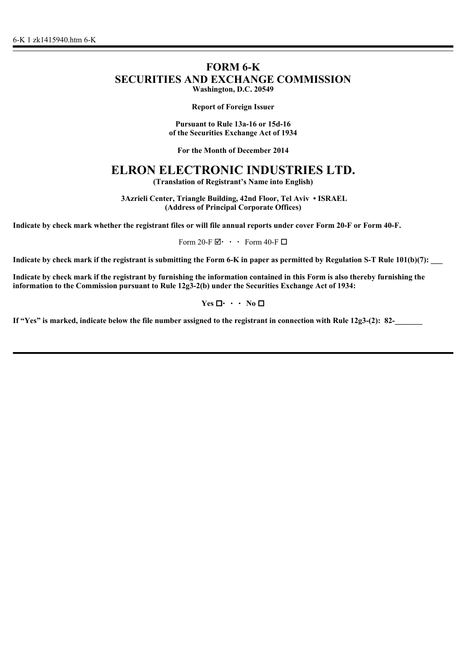# **FORM 6-K SECURITIES AND EXCHANGE COMMISSION Washington, D.C. 20549**

**Report of Foreign Issuer**

**Pursuant to Rule 13a-16 or 15d-16 of the Securities Exchange Act of 1934**

**For the Month of December 2014**

# **ELRON ELECTRONIC INDUSTRIES LTD.**

**(Translation of Registrant's Name into English)**

 **3Azrieli Center, Triangle Building, 42nd Floor, Tel Aviv • ISRAEL (Address of Principal Corporate Offices)**

**Indicate by check mark whether the registrant files or will file annual reports under cover Form 20-F or Form 40-F.**

Form 20-F $\boxdot \cdot \cdot$  Form 40-F $\Box$ 

Indicate by check mark if the registrant is submitting the Form 6-K in paper as permitted by Regulation S-T Rule 101(b)(7):

**Indicate by check mark if the registrant by furnishing the information contained in this Form is also thereby furnishing the information to the Commission pursuant to Rule 12g3-2(b) under the Securities Exchange Act of 1934:**

 $Yes \Box \cdot \cdot \cdot No \Box$ 

If "Yes" is marked, indicate below the file number assigned to the registrant in connection with Rule 12g3-(2): 82-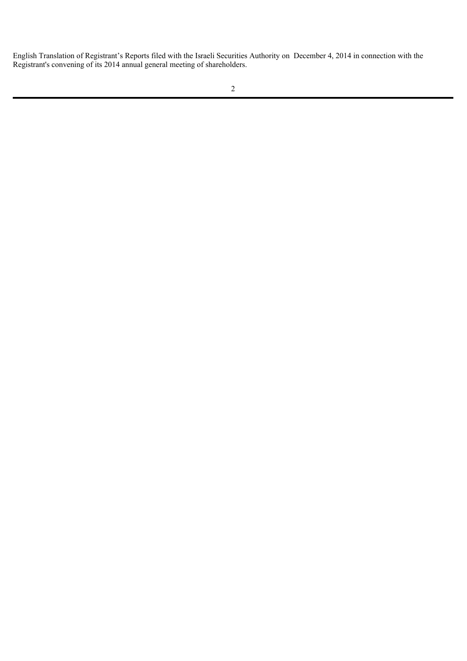English Translation of Registrant's Reports filed with the Israeli Securities Authority on December 4, 2014 in connection with the Registrant's convening of its 2014 annual general meeting of shareholders.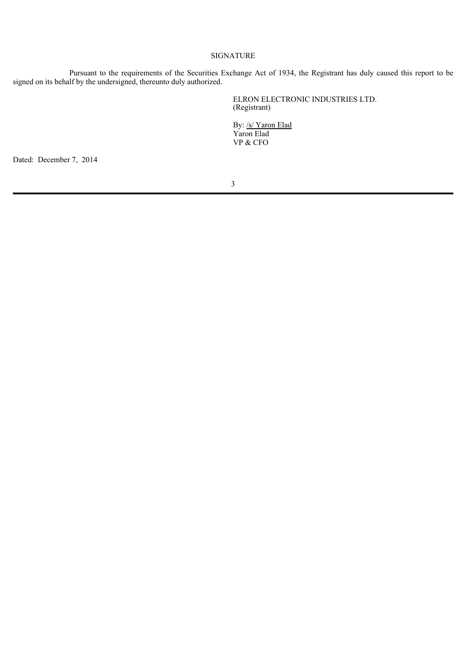## SIGNATURE

Pursuant to the requirements of the Securities Exchange Act of 1934, the Registrant has duly caused this report to be signed on its behalf by the undersigned, thereunto duly authorized.

> ELRON ELECTRONIC INDUSTRIES LTD. (Registrant)

By: /s/ Yaron Elad Yaron Elad VP & CFO

Dated: December 7, 2014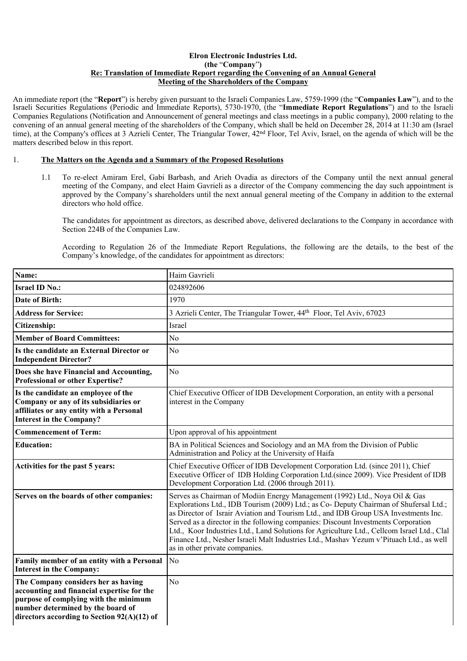#### **Elron Electronic Industries Ltd. (the** "**Company**"**) Re: Translation of Immediate Report regarding the Convening of an Annual General Meeting of the Shareholders of the Company**

An immediate report (the "**Report**") is hereby given pursuant to the Israeli Companies Law, 5759-1999 (the "**Companies Law**"), and to the Israeli Securities Regulations (Periodic and Immediate Reports), 5730-1970, (the "**Immediate Report Regulations**") and to the Israeli Companies Regulations (Notification and Announcement of general meetings and class meetings in a public company), 2000 relating to the convening of an annual general meeting of the shareholders of the Company, which shall be held on December 28, 2014 at 11:30 am (Israel time), at the Company's offices at 3 Azrieli Center, The Triangular Tower, 42nd Floor, Tel Aviv, Israel, on the agenda of which will be the matters described below in this report.

## 1. **The Matters on the Agenda and a Summary of the Proposed Resolutions**

1.1 To re-elect Amiram Erel, Gabi Barbash, and Arieh Ovadia as directors of the Company until the next annual general meeting of the Company, and elect Haim Gavrieli as a director of the Company commencing the day such appointment is approved by the Company's shareholders until the next annual general meeting of the Company in addition to the external directors who hold office.

The candidates for appointment as directors, as described above, delivered declarations to the Company in accordance with Section 224B of the Companies Law.

According to Regulation 26 of the Immediate Report Regulations, the following are the details, to the best of the Company's knowledge, of the candidates for appointment as directors:

| Name:                                                                                                                                                                                                            | Haim Gavrieli                                                                                                                                                                                                                                                                                                                                                                                                                                                                                                                                                              |
|------------------------------------------------------------------------------------------------------------------------------------------------------------------------------------------------------------------|----------------------------------------------------------------------------------------------------------------------------------------------------------------------------------------------------------------------------------------------------------------------------------------------------------------------------------------------------------------------------------------------------------------------------------------------------------------------------------------------------------------------------------------------------------------------------|
| <b>Israel ID No.:</b>                                                                                                                                                                                            | 024892606                                                                                                                                                                                                                                                                                                                                                                                                                                                                                                                                                                  |
| Date of Birth:                                                                                                                                                                                                   | 1970                                                                                                                                                                                                                                                                                                                                                                                                                                                                                                                                                                       |
| <b>Address for Service:</b>                                                                                                                                                                                      | 3 Azrieli Center, The Triangular Tower, 44 <sup>th</sup> Floor, Tel Aviv, 67023                                                                                                                                                                                                                                                                                                                                                                                                                                                                                            |
| Citizenship:                                                                                                                                                                                                     | <b>Israel</b>                                                                                                                                                                                                                                                                                                                                                                                                                                                                                                                                                              |
| <b>Member of Board Committees:</b>                                                                                                                                                                               | N <sub>0</sub>                                                                                                                                                                                                                                                                                                                                                                                                                                                                                                                                                             |
| Is the candidate an External Director or<br><b>Independent Director?</b>                                                                                                                                         | N <sub>o</sub>                                                                                                                                                                                                                                                                                                                                                                                                                                                                                                                                                             |
| Does she have Financial and Accounting,<br><b>Professional or other Expertise?</b>                                                                                                                               | N <sub>o</sub>                                                                                                                                                                                                                                                                                                                                                                                                                                                                                                                                                             |
| Is the candidate an employee of the<br>Company or any of its subsidiaries or<br>affiliates or any entity with a Personal<br><b>Interest in the Company?</b>                                                      | Chief Executive Officer of IDB Development Corporation, an entity with a personal<br>interest in the Company                                                                                                                                                                                                                                                                                                                                                                                                                                                               |
| <b>Commencement of Term:</b>                                                                                                                                                                                     | Upon approval of his appointment                                                                                                                                                                                                                                                                                                                                                                                                                                                                                                                                           |
| <b>Education:</b>                                                                                                                                                                                                | BA in Political Sciences and Sociology and an MA from the Division of Public<br>Administration and Policy at the University of Haifa                                                                                                                                                                                                                                                                                                                                                                                                                                       |
| Activities for the past 5 years:                                                                                                                                                                                 | Chief Executive Officer of IDB Development Corporation Ltd. (since 2011), Chief<br>Executive Officer of IDB Holding Corporation Ltd.(since 2009). Vice President of IDB<br>Development Corporation Ltd. (2006 through 2011).                                                                                                                                                                                                                                                                                                                                               |
| Serves on the boards of other companies:                                                                                                                                                                         | Serves as Chairman of Modiin Energy Management (1992) Ltd., Noya Oil & Gas<br>Explorations Ltd., IDB Tourism (2009) Ltd.; as Co- Deputy Chairman of Shufersal Ltd.;<br>as Director of Israir Aviation and Tourism Ltd., and IDB Group USA Investments Inc.<br>Served as a director in the following companies: Discount Investments Corporation<br>Ltd., Koor Industries Ltd., Land Solutions for Agriculture Ltd., Cellcom Israel Ltd., Clal<br>Finance Ltd., Nesher Israeli Malt Industries Ltd., Mashav Yezum v'Pituach Ltd., as well<br>as in other private companies. |
| Family member of an entity with a Personal<br><b>Interest in the Company:</b>                                                                                                                                    | No                                                                                                                                                                                                                                                                                                                                                                                                                                                                                                                                                                         |
| The Company considers her as having<br>accounting and financial expertise for the<br>purpose of complying with the minimum<br>number determined by the board of<br>directors according to Section $92(A)(12)$ of | N <sub>o</sub>                                                                                                                                                                                                                                                                                                                                                                                                                                                                                                                                                             |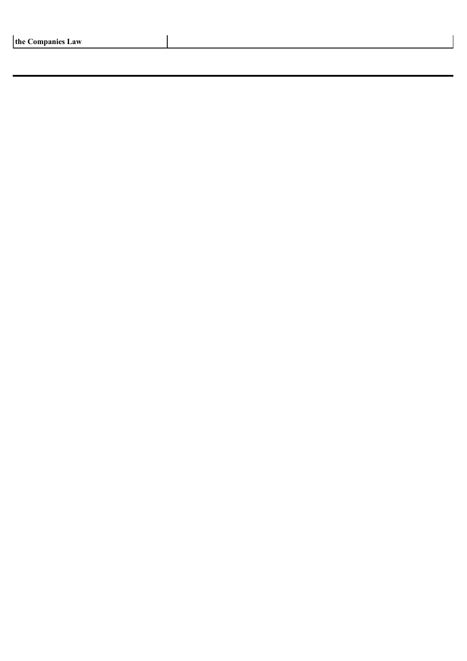| the Companies Law |  |  |
|-------------------|--|--|
|-------------------|--|--|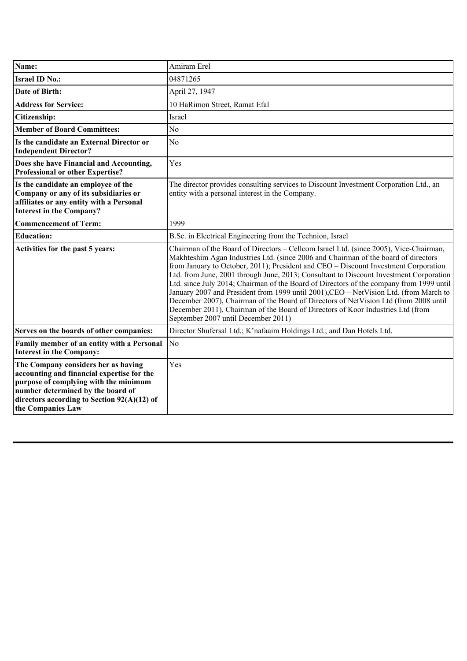| Name:                                                                                                                                                                                                                               | Amiram Erel                                                                                                                                                                                                                                                                                                                                                                                                                                                                                                                                                                                                                                                                                                                                                        |
|-------------------------------------------------------------------------------------------------------------------------------------------------------------------------------------------------------------------------------------|--------------------------------------------------------------------------------------------------------------------------------------------------------------------------------------------------------------------------------------------------------------------------------------------------------------------------------------------------------------------------------------------------------------------------------------------------------------------------------------------------------------------------------------------------------------------------------------------------------------------------------------------------------------------------------------------------------------------------------------------------------------------|
| <b>Israel ID No.:</b>                                                                                                                                                                                                               | 04871265                                                                                                                                                                                                                                                                                                                                                                                                                                                                                                                                                                                                                                                                                                                                                           |
| <b>Date of Birth:</b>                                                                                                                                                                                                               | April 27, 1947                                                                                                                                                                                                                                                                                                                                                                                                                                                                                                                                                                                                                                                                                                                                                     |
| <b>Address for Service:</b>                                                                                                                                                                                                         | 10 HaRimon Street, Ramat Efal                                                                                                                                                                                                                                                                                                                                                                                                                                                                                                                                                                                                                                                                                                                                      |
| <b>Citizenship:</b>                                                                                                                                                                                                                 | Israel                                                                                                                                                                                                                                                                                                                                                                                                                                                                                                                                                                                                                                                                                                                                                             |
| <b>Member of Board Committees:</b>                                                                                                                                                                                                  | N <sub>0</sub>                                                                                                                                                                                                                                                                                                                                                                                                                                                                                                                                                                                                                                                                                                                                                     |
| Is the candidate an External Director or<br><b>Independent Director?</b>                                                                                                                                                            | N <sub>0</sub>                                                                                                                                                                                                                                                                                                                                                                                                                                                                                                                                                                                                                                                                                                                                                     |
| Does she have Financial and Accounting,<br><b>Professional or other Expertise?</b>                                                                                                                                                  | Yes                                                                                                                                                                                                                                                                                                                                                                                                                                                                                                                                                                                                                                                                                                                                                                |
| Is the candidate an employee of the<br>Company or any of its subsidiaries or<br>affiliates or any entity with a Personal<br><b>Interest in the Company?</b>                                                                         | The director provides consulting services to Discount Investment Corporation Ltd., an<br>entity with a personal interest in the Company.                                                                                                                                                                                                                                                                                                                                                                                                                                                                                                                                                                                                                           |
| <b>Commencement of Term:</b>                                                                                                                                                                                                        | 1999                                                                                                                                                                                                                                                                                                                                                                                                                                                                                                                                                                                                                                                                                                                                                               |
| <b>Education:</b>                                                                                                                                                                                                                   | B.Sc. in Electrical Engineering from the Technion, Israel                                                                                                                                                                                                                                                                                                                                                                                                                                                                                                                                                                                                                                                                                                          |
| Activities for the past 5 years:                                                                                                                                                                                                    | Chairman of the Board of Directors – Cellcom Israel Ltd. (since 2005), Vice-Chairman,<br>Makhteshim Agan Industries Ltd. (since 2006 and Chairman of the board of directors<br>from January to October, 2011); President and CEO - Discount Investment Corporation<br>Ltd. from June, 2001 through June, 2013; Consultant to Discount Investment Corporation<br>Ltd. since July 2014; Chairman of the Board of Directors of the company from 1999 until<br>January 2007 and President from 1999 until 2001), CEO - NetVision Ltd. (from March to<br>December 2007), Chairman of the Board of Directors of NetVision Ltd (from 2008 until<br>December 2011), Chairman of the Board of Directors of Koor Industries Ltd (from<br>September 2007 until December 2011) |
| Serves on the boards of other companies:                                                                                                                                                                                            | Director Shufersal Ltd.; K'nafaaim Holdings Ltd.; and Dan Hotels Ltd.                                                                                                                                                                                                                                                                                                                                                                                                                                                                                                                                                                                                                                                                                              |
| Family member of an entity with a Personal<br><b>Interest in the Company:</b>                                                                                                                                                       | N <sub>o</sub>                                                                                                                                                                                                                                                                                                                                                                                                                                                                                                                                                                                                                                                                                                                                                     |
| The Company considers her as having<br>accounting and financial expertise for the<br>purpose of complying with the minimum<br>number determined by the board of<br>directors according to Section 92(A)(12) of<br>the Companies Law | Yes                                                                                                                                                                                                                                                                                                                                                                                                                                                                                                                                                                                                                                                                                                                                                                |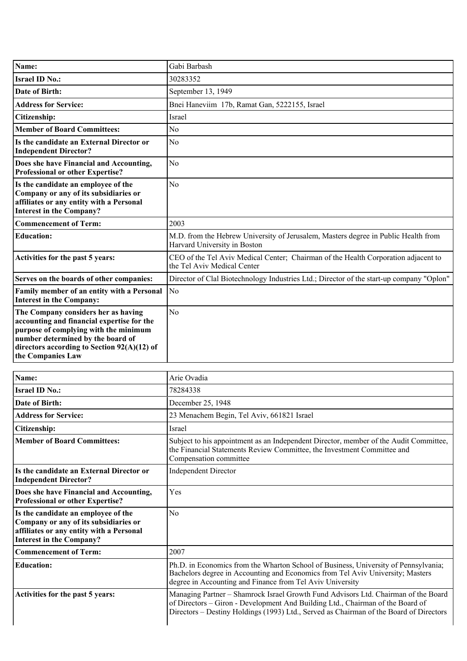| Name:                                                                                                                                                                                                                                 | Gabi Barbash                                                                                                       |
|---------------------------------------------------------------------------------------------------------------------------------------------------------------------------------------------------------------------------------------|--------------------------------------------------------------------------------------------------------------------|
| <b>Israel ID No.:</b>                                                                                                                                                                                                                 | 30283352                                                                                                           |
| <b>Date of Birth:</b>                                                                                                                                                                                                                 | September 13, 1949                                                                                                 |
| <b>Address for Service:</b>                                                                                                                                                                                                           | Bnei Haneviim 17b, Ramat Gan, 5222155, Israel                                                                      |
| Citizenship:                                                                                                                                                                                                                          | <b>Israel</b>                                                                                                      |
| <b>Member of Board Committees:</b>                                                                                                                                                                                                    | N <sub>0</sub>                                                                                                     |
| Is the candidate an External Director or<br><b>Independent Director?</b>                                                                                                                                                              | N <sub>o</sub>                                                                                                     |
| Does she have Financial and Accounting,<br>Professional or other Expertise?                                                                                                                                                           | N <sub>o</sub>                                                                                                     |
| Is the candidate an employee of the<br>Company or any of its subsidiaries or<br>affiliates or any entity with a Personal<br><b>Interest in the Company?</b>                                                                           | N <sub>0</sub>                                                                                                     |
| <b>Commencement of Term:</b>                                                                                                                                                                                                          | 2003                                                                                                               |
| <b>Education:</b>                                                                                                                                                                                                                     | M.D. from the Hebrew University of Jerusalem, Masters degree in Public Health from<br>Harvard University in Boston |
| Activities for the past 5 years:                                                                                                                                                                                                      | CEO of the Tel Aviv Medical Center; Chairman of the Health Corporation adjacent to<br>the Tel Aviv Medical Center  |
| Serves on the boards of other companies:                                                                                                                                                                                              | Director of Clal Biotechnology Industries Ltd.; Director of the start-up company "Oplon"                           |
| Family member of an entity with a Personal<br><b>Interest in the Company:</b>                                                                                                                                                         | N <sub>o</sub>                                                                                                     |
| The Company considers her as having<br>accounting and financial expertise for the<br>purpose of complying with the minimum<br>number determined by the board of<br>directors according to Section $92(A)(12)$ of<br>the Companies Law | N <sub>0</sub>                                                                                                     |

| Name:                                                                                                                                                       | Arie Ovadia                                                                                                                                                                                                                                                    |
|-------------------------------------------------------------------------------------------------------------------------------------------------------------|----------------------------------------------------------------------------------------------------------------------------------------------------------------------------------------------------------------------------------------------------------------|
| <b>Israel ID No.:</b>                                                                                                                                       | 78284338                                                                                                                                                                                                                                                       |
| Date of Birth:                                                                                                                                              | December 25, 1948                                                                                                                                                                                                                                              |
| <b>Address for Service:</b>                                                                                                                                 | 23 Menachem Begin, Tel Aviv, 661821 Israel                                                                                                                                                                                                                     |
| Citizenship:                                                                                                                                                | Israel                                                                                                                                                                                                                                                         |
| <b>Member of Board Committees:</b>                                                                                                                          | Subject to his appointment as an Independent Director, member of the Audit Committee,<br>the Financial Statements Review Committee, the Investment Committee and<br>Compensation committee                                                                     |
| Is the candidate an External Director or<br><b>Independent Director?</b>                                                                                    | <b>Independent Director</b>                                                                                                                                                                                                                                    |
| Does she have Financial and Accounting,<br><b>Professional or other Expertise?</b>                                                                          | Yes                                                                                                                                                                                                                                                            |
| Is the candidate an employee of the<br>Company or any of its subsidiaries or<br>affiliates or any entity with a Personal<br><b>Interest in the Company?</b> | No                                                                                                                                                                                                                                                             |
| <b>Commencement of Term:</b>                                                                                                                                | 2007                                                                                                                                                                                                                                                           |
| <b>Education:</b>                                                                                                                                           | Ph.D. in Economics from the Wharton School of Business, University of Pennsylvania;<br>Bachelors degree in Accounting and Economics from Tel Aviv University; Masters<br>degree in Accounting and Finance from Tel Aviv University                             |
| Activities for the past 5 years:                                                                                                                            | Managing Partner - Shamrock Israel Growth Fund Advisors Ltd. Chairman of the Board<br>of Directors - Giron - Development And Building Ltd., Chairman of the Board of<br>Directors – Destiny Holdings (1993) Ltd., Served as Chairman of the Board of Directors |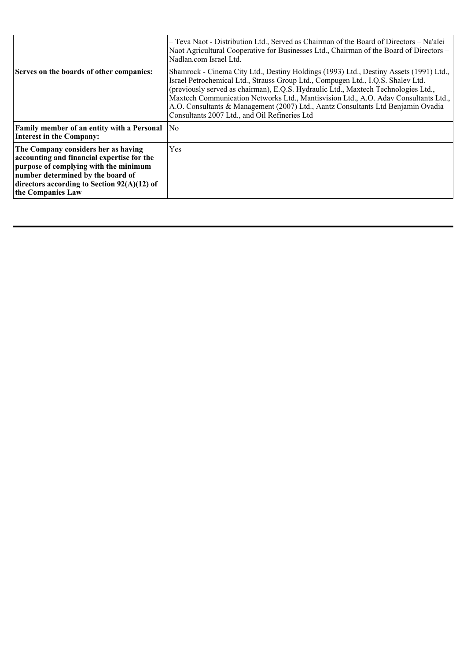|                                                                                                                                                                                                                                       | - Teva Naot - Distribution Ltd., Served as Chairman of the Board of Directors - Na'alei<br>Naot Agricultural Cooperative for Businesses Ltd., Chairman of the Board of Directors –<br>Nadlan.com Israel Ltd.                                                                                                                                                                                                                                                                                 |
|---------------------------------------------------------------------------------------------------------------------------------------------------------------------------------------------------------------------------------------|----------------------------------------------------------------------------------------------------------------------------------------------------------------------------------------------------------------------------------------------------------------------------------------------------------------------------------------------------------------------------------------------------------------------------------------------------------------------------------------------|
| Serves on the boards of other companies:                                                                                                                                                                                              | Shamrock - Cinema City Ltd., Destiny Holdings (1993) Ltd., Destiny Assets (1991) Ltd.,<br>Israel Petrochemical Ltd., Strauss Group Ltd., Compugen Ltd., I.Q.S. Shalev Ltd.<br>(previously served as chairman), E.Q.S. Hydraulic Ltd., Maxtech Technologies Ltd.,<br>Maxtech Communication Networks Ltd., Mantisvision Ltd., A.O. Adav Consultants Ltd.,<br>A.O. Consultants & Management (2007) Ltd., Aantz Consultants Ltd Benjamin Ovadia<br>Consultants 2007 Ltd., and Oil Refineries Ltd |
| <b>Family member of an entity with a Personal</b><br>Interest in the Company:                                                                                                                                                         | No                                                                                                                                                                                                                                                                                                                                                                                                                                                                                           |
| The Company considers her as having<br>accounting and financial expertise for the<br>purpose of complying with the minimum<br>number determined by the board of<br>directors according to Section $92(A)(12)$ of<br>the Companies Law | Yes                                                                                                                                                                                                                                                                                                                                                                                                                                                                                          |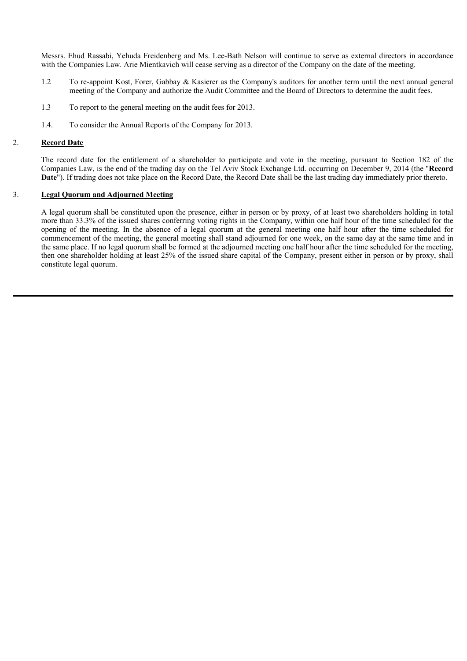Messrs. Ehud Rassabi, Yehuda Freidenberg and Ms. Lee-Bath Nelson will continue to serve as external directors in accordance with the Companies Law. Arie Mientkavich will cease serving as a director of the Company on the date of the meeting.

- 1.2 To re-appoint Kost, Forer, Gabbay & Kasierer as the Company's auditors for another term until the next annual general meeting of the Company and authorize the Audit Committee and the Board of Directors to determine the audit fees.
- 1.3 To report to the general meeting on the audit fees for 2013.
- 1.4. To consider the Annual Reports of the Company for 2013.

#### 2. **Record Date**

The record date for the entitlement of a shareholder to participate and vote in the meeting, pursuant to Section 182 of the Companies Law, is the end of the trading day on the Tel Aviv Stock Exchange Ltd. occurring on December 9, 2014 (the "**Record Date**"). If trading does not take place on the Record Date, the Record Date shall be the last trading day immediately prior thereto.

## 3. **Legal Quorum and Adjourned Meeting**

A legal quorum shall be constituted upon the presence, either in person or by proxy, of at least two shareholders holding in total more than 33.3% of the issued shares conferring voting rights in the Company, within one half hour of the time scheduled for the opening of the meeting. In the absence of a legal quorum at the general meeting one half hour after the time scheduled for commencement of the meeting, the general meeting shall stand adjourned for one week, on the same day at the same time and in the same place. If no legal quorum shall be formed at the adjourned meeting one half hour after the time scheduled for the meeting, then one shareholder holding at least 25% of the issued share capital of the Company, present either in person or by proxy, shall constitute legal quorum.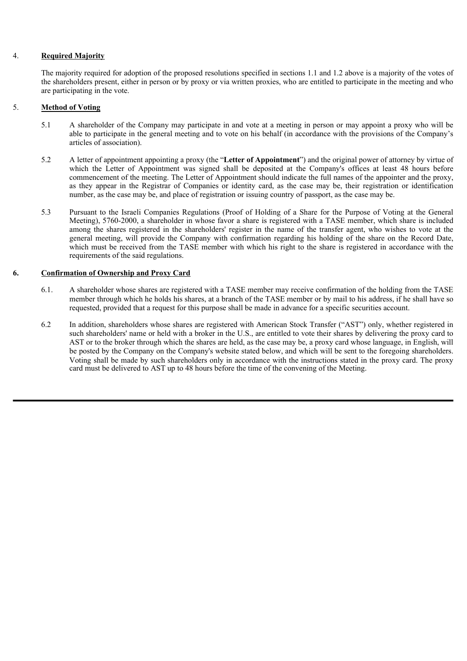## 4. **Required Majority**

The majority required for adoption of the proposed resolutions specified in sections 1.1 and 1.2 above is a majority of the votes of the shareholders present, either in person or by proxy or via written proxies, who are entitled to participate in the meeting and who are participating in the vote.

## 5. **Method of Voting**

- 5.1 A shareholder of the Company may participate in and vote at a meeting in person or may appoint a proxy who will be able to participate in the general meeting and to vote on his behalf (in accordance with the provisions of the Company's articles of association).
- 5.2 A letter of appointment appointing a proxy (the "**Letter of Appointment**") and the original power of attorney by virtue of which the Letter of Appointment was signed shall be deposited at the Company's offices at least 48 hours before commencement of the meeting. The Letter of Appointment should indicate the full names of the appointer and the proxy, as they appear in the Registrar of Companies or identity card, as the case may be, their registration or identification number, as the case may be, and place of registration or issuing country of passport, as the case may be.
- 5.3 Pursuant to the Israeli Companies Regulations (Proof of Holding of a Share for the Purpose of Voting at the General Meeting), 5760-2000, a shareholder in whose favor a share is registered with a TASE member, which share is included among the shares registered in the shareholders' register in the name of the transfer agent, who wishes to vote at the general meeting, will provide the Company with confirmation regarding his holding of the share on the Record Date, which must be received from the TASE member with which his right to the share is registered in accordance with the requirements of the said regulations.

## **6. Confirmation of Ownership and Proxy Card**

- 6.1. A shareholder whose shares are registered with a TASE member may receive confirmation of the holding from the TASE member through which he holds his shares, at a branch of the TASE member or by mail to his address, if he shall have so requested, provided that a request for this purpose shall be made in advance for a specific securities account.
- 6.2 In addition, shareholders whose shares are registered with American Stock Transfer ("AST") only, whether registered in such shareholders' name or held with a broker in the U.S., are entitled to vote their shares by delivering the proxy card to AST or to the broker through which the shares are held, as the case may be, a proxy card whose language, in English, will be posted by the Company on the Company's website stated below, and which will be sent to the foregoing shareholders. Voting shall be made by such shareholders only in accordance with the instructions stated in the proxy card. The proxy card must be delivered to AST up to 48 hours before the time of the convening of the Meeting.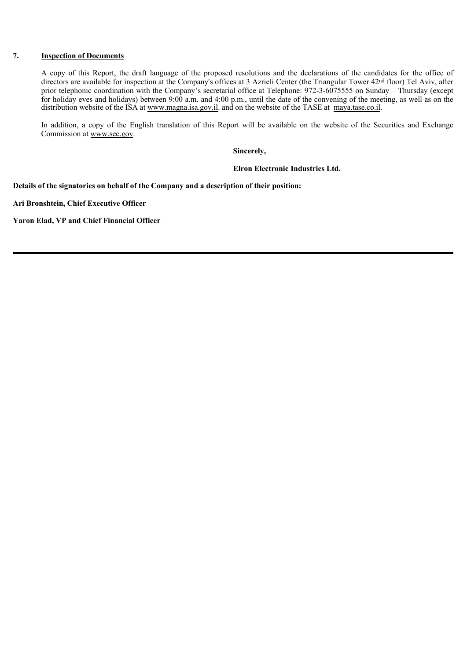## **7. Inspection of Documents**

A copy of this Report, the draft language of the proposed resolutions and the declarations of the candidates for the office of directors are available for inspection at the Company's offices at 3 Azrieli Center (the Triangular Tower 42nd floor) Tel Aviv, after prior telephonic coordination with the Company's secretarial office at Telephone: 972-3-6075555 on Sunday – Thursday (except for holiday eves and holidays) between 9:00 a.m. and 4:00 p.m., until the date of the convening of the meeting, as well as on the distribution website of the ISA at www.magna.isa.gov.il. and on the website of the TASE at maya.tase.co.il.

In addition, a copy of the English translation of this Report will be available on the website of the Securities and Exchange Commission at www.sec.gov.

**Sincerely,**

**Elron Electronic Industries Ltd.**

**Details of the signatories on behalf of the Company and a description of their position:**

**Ari Bronshtein, Chief Executive Officer**

**Yaron Elad, VP and Chief Financial Officer**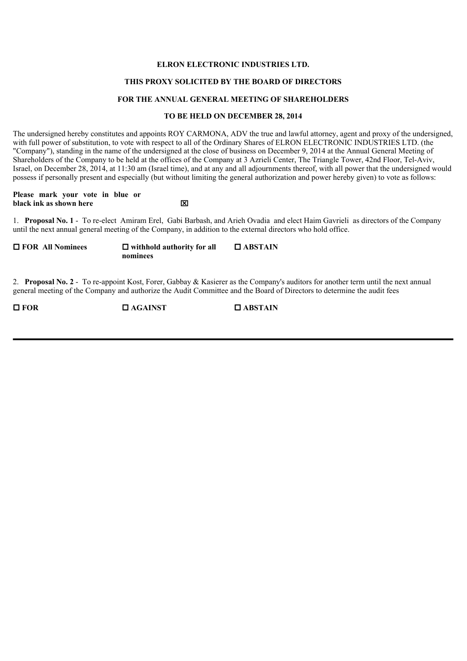## **ELRON ELECTRONIC INDUSTRIES LTD.**

#### **THIS PROXY SOLICITED BY THE BOARD OF DIRECTORS**

#### **FOR THE ANNUAL GENERAL MEETING OF SHAREHOLDERS**

#### **TO BE HELD ON DECEMBER 28, 2014**

The undersigned hereby constitutes and appoints ROY CARMONA, ADV the true and lawful attorney, agent and proxy of the undersigned, with full power of substitution, to vote with respect to all of the Ordinary Shares of ELRON ELECTRONIC INDUSTRIES LTD. (the "Company"), standing in the name of the undersigned at the close of business on December 9, 2014 at the Annual General Meeting of Shareholders of the Company to be held at the offices of the Company at 3 Azrieli Center, The Triangle Tower, 42nd Floor, Tel-Aviv, Israel, on December 28, 2014, at 11:30 am (Israel time), and at any and all adjournments thereof, with all power that the undersigned would possess if personally present and especially (but without limiting the general authorization and power hereby given) to vote as follows:

**Please mark your vote in blue or black ink as shown here black**  $\boxtimes$ 

1. **Proposal No. 1** - To re-elect Amiram Erel, Gabi Barbash, and Arieh Ovadia and elect Haim Gavrieli as directors of the Company until the next annual general meeting of the Company, in addition to the external directors who hold office.

**□ FOR All Nominees** □ withhold authority for all **nominees ABSTAIN**

2. **Proposal No. 2** - To re-appoint Kost, Forer, Gabbay & Kasierer as the Company's auditors for another term until the next annual general meeting of the Company and authorize the Audit Committee and the Board of Directors to determine the audit fees

 $\Box$  **FOR**  $\Box$   $\Box$   $\Box$   $\Box$   $\Box$   $\Box$   $\Box$   $\Box$   $\Box$   $\Box$   $\Box$   $\Box$   $\Box$   $\Box$   $\Box$   $\Box$   $\Box$   $\Box$   $\Box$   $\Box$   $\Box$   $\Box$   $\Box$   $\Box$   $\Box$   $\Box$   $\Box$   $\Box$   $\Box$   $\Box$